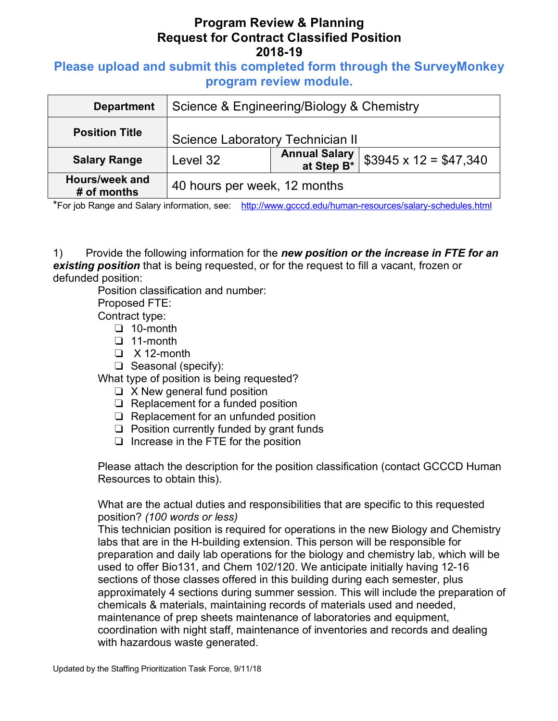## **Please upload and submit this completed form through the SurveyMonkey program review module.**

| <b>Department</b>             | Science & Engineering/Biology & Chemistry |                                                |                             |
|-------------------------------|-------------------------------------------|------------------------------------------------|-----------------------------|
| <b>Position Title</b>         | Science Laboratory Technician II          |                                                |                             |
| <b>Salary Range</b>           | Level 32                                  | <b>Annual Salary</b><br>at Step B <sup>*</sup> | $$3945 \times 12 = $47,340$ |
| Hours/week and<br># of months | 40 hours per week, 12 months              |                                                |                             |

\*For job Range and Salary information, see: http://www.gcccd.edu/human-resources/salary-schedules.html

1) Provide the following information for the *new position or the increase in FTE for an existing position* that is being requested, or for the request to fill a vacant, frozen or defunded position:

Position classification and number:

Proposed FTE:

Contract type:

- ❏ 10-month
- ❏ 11-month
- ❏ X 12-month
- ❏ Seasonal (specify):

What type of position is being requested?

- ❏ X New general fund position
- ❏ Replacement for a funded position
- ❏ Replacement for an unfunded position
- ❏ Position currently funded by grant funds
- ❏ Increase in the FTE for the position

Please attach the description for the position classification (contact GCCCD Human Resources to obtain this).

What are the actual duties and responsibilities that are specific to this requested position? *(100 words or less)*

This technician position is required for operations in the new Biology and Chemistry labs that are in the H-building extension. This person will be responsible for preparation and daily lab operations for the biology and chemistry lab, which will be used to offer Bio131, and Chem 102/120. We anticipate initially having 12-16 sections of those classes offered in this building during each semester, plus approximately 4 sections during summer session. This will include the preparation of chemicals & materials, maintaining records of materials used and needed, maintenance of prep sheets maintenance of laboratories and equipment, coordination with night staff, maintenance of inventories and records and dealing with hazardous waste generated.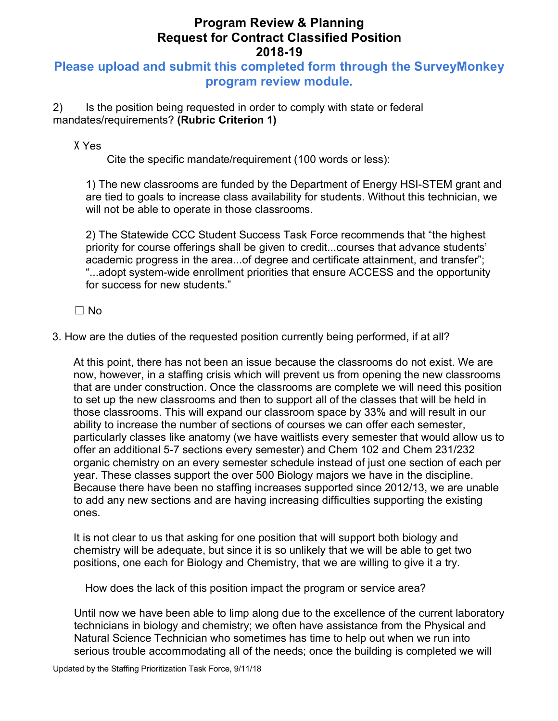# **Please upload and submit this completed form through the SurveyMonkey program review module.**

2) Is the position being requested in order to comply with state or federal mandates/requirements? **(Rubric Criterion 1)** 

X Yes

Cite the specific mandate/requirement (100 words or less):

1) The new classrooms are funded by the Department of Energy HSI-STEM grant and are tied to goals to increase class availability for students. Without this technician, we will not be able to operate in those classrooms.

2) The Statewide CCC Student Success Task Force recommends that "the highest priority for course offerings shall be given to credit...courses that advance students' academic progress in the area...of degree and certificate attainment, and transfer"; "...adopt system-wide enrollment priorities that ensure ACCESS and the opportunity for success for new students."

☐ No

3. How are the duties of the requested position currently being performed, if at all?

At this point, there has not been an issue because the classrooms do not exist. We are now, however, in a staffing crisis which will prevent us from opening the new classrooms that are under construction. Once the classrooms are complete we will need this position to set up the new classrooms and then to support all of the classes that will be held in those classrooms. This will expand our classroom space by 33% and will result in our ability to increase the number of sections of courses we can offer each semester, particularly classes like anatomy (we have waitlists every semester that would allow us to offer an additional 5-7 sections every semester) and Chem 102 and Chem 231/232 organic chemistry on an every semester schedule instead of just one section of each per year. These classes support the over 500 Biology majors we have in the discipline. Because there have been no staffing increases supported since 2012/13, we are unable to add any new sections and are having increasing difficulties supporting the existing ones.

It is not clear to us that asking for one position that will support both biology and chemistry will be adequate, but since it is so unlikely that we will be able to get two positions, one each for Biology and Chemistry, that we are willing to give it a try.

How does the lack of this position impact the program or service area?

Until now we have been able to limp along due to the excellence of the current laboratory technicians in biology and chemistry; we often have assistance from the Physical and Natural Science Technician who sometimes has time to help out when we run into serious trouble accommodating all of the needs; once the building is completed we will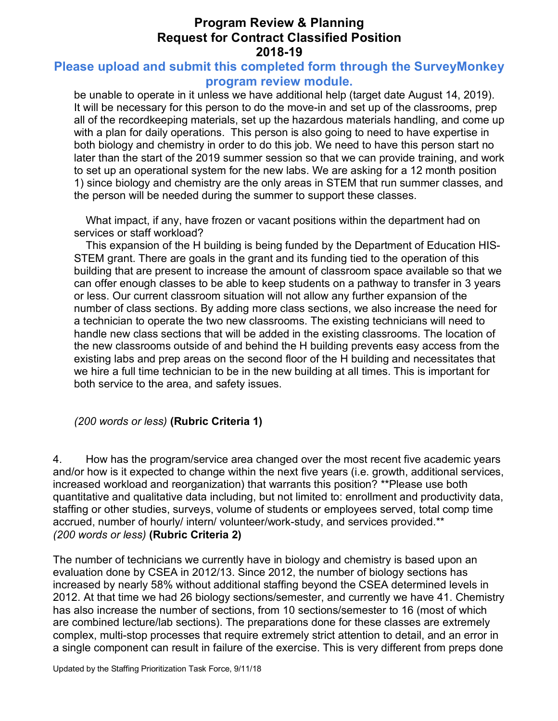## **Please upload and submit this completed form through the SurveyMonkey program review module.**

be unable to operate in it unless we have additional help (target date August 14, 2019). It will be necessary for this person to do the move-in and set up of the classrooms, prep all of the recordkeeping materials, set up the hazardous materials handling, and come up with a plan for daily operations. This person is also going to need to have expertise in both biology and chemistry in order to do this job. We need to have this person start no later than the start of the 2019 summer session so that we can provide training, and work to set up an operational system for the new labs. We are asking for a 12 month position 1) since biology and chemistry are the only areas in STEM that run summer classes, and the person will be needed during the summer to support these classes.

What impact, if any, have frozen or vacant positions within the department had on services or staff workload?

This expansion of the H building is being funded by the Department of Education HIS-STEM grant. There are goals in the grant and its funding tied to the operation of this building that are present to increase the amount of classroom space available so that we can offer enough classes to be able to keep students on a pathway to transfer in 3 years or less. Our current classroom situation will not allow any further expansion of the number of class sections. By adding more class sections, we also increase the need for a technician to operate the two new classrooms. The existing technicians will need to handle new class sections that will be added in the existing classrooms. The location of the new classrooms outside of and behind the H building prevents easy access from the existing labs and prep areas on the second floor of the H building and necessitates that we hire a full time technician to be in the new building at all times. This is important for both service to the area, and safety issues.

#### *(200 words or less)* **(Rubric Criteria 1)**

4. How has the program/service area changed over the most recent five academic years and/or how is it expected to change within the next five years (i.e. growth, additional services, increased workload and reorganization) that warrants this position? \*\*Please use both quantitative and qualitative data including, but not limited to: enrollment and productivity data, staffing or other studies, surveys, volume of students or employees served, total comp time accrued, number of hourly/ intern/ volunteer/work-study, and services provided.\*\* *(200 words or less)* **(Rubric Criteria 2)**

The number of technicians we currently have in biology and chemistry is based upon an evaluation done by CSEA in 2012/13. Since 2012, the number of biology sections has increased by nearly 58% without additional staffing beyond the CSEA determined levels in 2012. At that time we had 26 biology sections/semester, and currently we have 41. Chemistry has also increase the number of sections, from 10 sections/semester to 16 (most of which are combined lecture/lab sections). The preparations done for these classes are extremely complex, multi-stop processes that require extremely strict attention to detail, and an error in a single component can result in failure of the exercise. This is very different from preps done